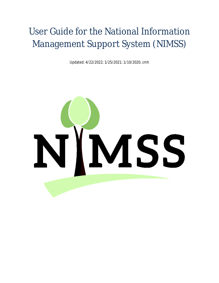# User Guide for the National Information Management Support System (NIMSS)

Updated: 4/22/2022; 1/25/2021; 1/10/2020, cmh

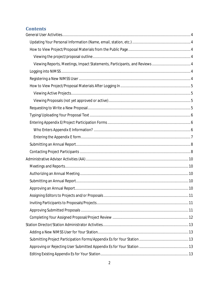# **Contents**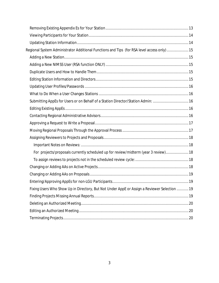| Regional System Administrator Additional Functions and Tips (for RSA level access only) 15   |  |
|----------------------------------------------------------------------------------------------|--|
|                                                                                              |  |
|                                                                                              |  |
|                                                                                              |  |
|                                                                                              |  |
|                                                                                              |  |
|                                                                                              |  |
| Submitting AppEs for Users or on Behalf of a Station Director/Station Admin:  16             |  |
|                                                                                              |  |
|                                                                                              |  |
|                                                                                              |  |
|                                                                                              |  |
|                                                                                              |  |
|                                                                                              |  |
| For projects/proposals currently scheduled up for review/midterm (year 3 review) 18          |  |
|                                                                                              |  |
|                                                                                              |  |
|                                                                                              |  |
|                                                                                              |  |
| Fixing Users Who Show Up in Directory, But Not Under AppE or Assign a Reviewer Selection  19 |  |
|                                                                                              |  |
|                                                                                              |  |
|                                                                                              |  |
|                                                                                              |  |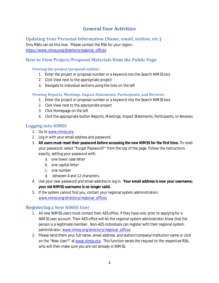# **General User Activities**

<span id="page-3-1"></span><span id="page-3-0"></span>**Updating Your Personal Information (Name, email, station, etc.)** 

Only RSAs can do this now. Please contact the RSA for your region: [https://www.nimss.org/directory/regional\\_offices](https://www.nimss.org/directory/regional_offices) 

# <span id="page-3-3"></span><span id="page-3-2"></span>**How to View Project/Proposal Materials from the Public Page**

#### **Viewing the project/proposal outline**

- 1. Enter the project or proposal number or a keyword into the Search NIMSS box
- 2. Click View next to the appropriate project
- 3. Navigate to individual sections using the links on the left

#### <span id="page-3-4"></span>**Viewing Reports, Meetings, Impact Statements, Participants, and Reviews**

- 1. Enter the project or proposal number or a keyword into the Search NIMSS box
- 2. Click View next to the appropriate project
- 3. Click Homepage on the left
- 4. Click the appropriate button Reports, Meetings, Impact Statements, Participants, or Reviews

# <span id="page-3-5"></span>**Logging into NIMSS**

- 1. Go to [www.nimss.org](http://www.nimss.org/)
- 2. Log in with your email address and password.
- 3. **All users must reset their password before accessing the new NIMSS for the first time.** To reset your password, select "Forgot Password?" from the top of the page. Follow the instructions exactly, setting your password with:
	- a. one lower case letter
	- b. one capital letter
	- c. one number
	- d. between 4 and 12 characters.
- 4. Use your new password and email address to log in. **Your email address is now your username; your old NIMSS username is no longer valid.**
- 5. If the system cannot find you, contact your regional system administration: [www.nimss.org/directory/regional\\_offices](http://www.nimss.org/directory/regional_offices)

#### <span id="page-3-6"></span>**Registering a New NIMSS User**

- 1. All new NIMSS users must contact their AES office, if they have one, prior to applying for a NIMSS user account. Their AES office will let the regional system administrator know that the person is a legitimate member. Non-AES individuals can register with their regional system administrator[: www.nimss.org/directory/regional\\_offices](http://www.nimss.org/directory/regional_offices)
- 2. Please send them your full name, email address, and station/company/institution name or click on the "New User?" at [www.nimss.org.](http://www.nimss.org/) This function sends the request to the respective RSA, who will then make sure you are not already in NIMSS.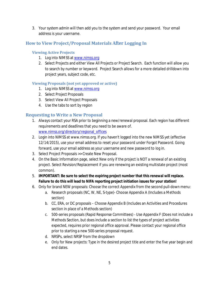3. Your system admin will then add you to the system and send your password. Your email address is your username.

# <span id="page-4-1"></span><span id="page-4-0"></span>**How to View Project/Proposal Materials After Logging In**

#### **Viewing Active Projects**

- 1. Log into NIMSS at www.nimss.org
- 2. Select Projects and either View All Projects or Project Search. Each function will allow you to search by number or keyword. Project Search allows for a more detailed drilldown into project years, subject code, etc.

#### <span id="page-4-2"></span>**Viewing Proposals (not yet approved or active)**

- 1. Log into NIMSS at www.nimss.org
- 2. Select Project Proposals
- 3. Select View All Project Proposals
- 4. Use the tabs to sort by region

## <span id="page-4-3"></span>**Requesting to Write a New Proposal**

- 1. Always contact your RSA prior to beginning a new/renewal proposal. Each region has different requirements and deadlines that you need to be aware of. [www.nimss.org/directory/regional\\_offices](http://www.nimss.org/directory/regional_offices)
- 2. Login into NIMSS at www.nimss.org. If you haven't logged into the new NIMSS yet (effective 12/14/2015), use your email address to reset your password under Forgot Password. Going forward, use your email address as your username and new password to log in.
- 3. Select Project Proposals >> Create New Proposal.
- 4. On the Basic Information page, select New only if the project is NOT a renewal of an existing project. Select Revision/Replacement if you are renewing an existing multistate project (most common).
- 5. **IMPORTANT: Be sure to select the expiring project number that this renewal will replace. Failure to do this will lead to NIFA reporting project initiation issues for your station!**
- 6. Only for brand NEW proposals: Choose the correct Appendix from the second pull-down menu:
	- a. Research proposals (NC, W, NE, S-type)- Choose Appendix A (Includes a Methods section)
	- b. CC, ERA, or DC proposals Choose Appendix B (Includes an Activities and Procedures section in place of a Methods section)
	- c. 500-series proposals (Rapid Response Committees) Use Appendix F (Does not include a Methods Section, but does include a section to list the types of project activities expected, requires prior regional office approval. Please contact your regional office prior to starting a new 500-series proposal request.
	- d. NRSPs, select NRSP from the dropdown
	- e. Only for New projects: Type in the desired project title and enter the five year begin and end dates.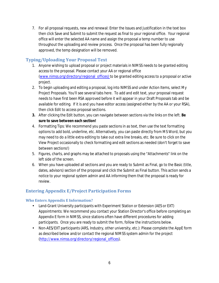7. For all proposal requests, new and renewal: Enter the Issues and Justification in the text box then click Save and Submit to submit the request as final to your regional office. Your regional office will enter the selected AA name and assign the proposal a temp number to use throughout the uploading and review process. Once the proposal has been fully regionally approved, the temp designation will be removed.

# <span id="page-5-0"></span>**Typing/Uploading Your Proposal Text**

- 1. Anyone wishing to upload proposal or project materials in NIMSS needs to be granted editing access to the proposal. Please contact your AA or regional office [\(www.nimss.org/directory/regional\\_offices\)](http://www.nimss.org/directory/regional_offices) to be granted editing access to a proposal or active project.
- 2. To begin uploading and editing a proposal, log into NIMSS and under Action Items, select My Project Proposals. You'll see several tabs here. To add and edit text, your proposal request needs to have first been RSA approved before it will appear in your Draft Proposals tab and be available for editing. If it is and you have editor access (assigned either by the AA or your RSA), then click Edit to access proposal sections.
- **3.** After clicking the Edit button, you can navigate between sections via the links on the left. **Be sure to save between each section!**
- 4. Formatting Tips: We recommend you paste sections in as text, then use the text formatting options to add bold, underline, etc. Alternatively, you can paste directly from MS Word, but you may need to do a little extra editing to take out extra line breaks, etc. Be sure to click on the View Project occasionally to check formatting and edit sections as needed (don't forget to save between sections!)
- 5. Figures, charts, and graphs may be attached to proposals using the "Attachments" link on the left side of the screen.
- 6. When you have uploaded all sections and you are ready to Submit as Final, go to the Basic (title, dates, advisors) section of the proposal and click the Submit as Final button. This action sends a notice to your regional system admin and AA informing them that the proposal is ready for review.

# <span id="page-5-1"></span>**Entering Appendix E/Project Participation Forms**

#### <span id="page-5-2"></span>**Who Enters Appendix E Information?**

- $\mathbf{r}^{\prime}$ Land-Grant University participants with Experiment Station or Extension (AES or EXT) Appointments: We recommend you contact your Station Director's office before completing an Appendix E form in NIMSS, since stations often have different procedures for adding participants. Once you are ready to submit the form, follow the instructions below.
- Non-AES/EXT participants (ARS, Industry, other university, etc.): Please complete the AppE form as described below and/or contact the regional NIMSS system admin for the project [\(http://www.nimss.org/directory/regional\\_offices\)](http://www.nimss.org/directory/regional_offices).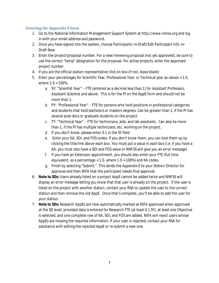#### <span id="page-6-0"></span>**Entering the Appendix E form**

- 1. Go to the National Information Management Support System at http://www.nimss.org and log in with your email address and password.
- 2. Once you have signed into the system, choose Participants >> Draft/Edit Participant Info >> Draft New
- 3. Enter the project/proposal number. For a new/renewing proposal (not yet approved), be sure to use the correct "temp" designation for the proposal. For active projects, enter the approved project number.
- 4. If you are the official station representative click on box (if not, leave blank)
- 5. Enter your percentages for Scientific Year, Professional Year, or Technical year as values < 1.0, where  $1.0 = 100\%$ .
	- a. SY: "Scientist Year" FTE (entered as a decimal less than 1) for Assistant Professors, Assistant Scientist and above. This is for the PI on the AppE form and should not be more than 1.
	- b. PY: "Professional Year" FTE for persons who hold positions in professional categories and students that hold bachelors or masters degrees. Can be greater than 1, if the PI has several post-docs or graduate students on the project.
	- c. TY: "Technical Year" FTE for technicians, aids, and lab assistants. Can also be more than 1, if the PI has multiple technicians, etc. working on the project.
	- d. If you don't know, please enter 0.1 in the SY field
	- e. Enter your KA, SOI, and FOS codes. If you don't know them, you can look them up by clicking the title/link above each box. You must put a value in each box (i.e. if you have a KA, you must also have a SOI and FOS value or NIMSS will give you an error message)
	- f. If you have an Extension appointment, you should also enter your FTE (full time equivalent, as a percentage < 1.0, where 1.0 = 100%) and KA codes.
	- g. Finish by selecting "Submit." This sends the Appendix E to your Station Director for approval and then NIFA that the participant needs final approval.
- 6. **Note to SDs:** Users already listed on a project AppE cannot be added twice and NIMSS will display an error message letting you know that that user is already on the project. If the user is listed on the project with another station, contact your RSA to update the user to the correct station and then remove the old AppE. Once that's complete, you'll be able to add the user for your station.
- <span id="page-6-1"></span>7. **Note to SDs:** Research AppEs are now automatically marked as NIFA approved when approved at the SD level, provided data is entered for Research FTE (at least 0.1 SY), at least one Objective is selected, and one complete row of KA, SOI, and FOS are added. NIFA will reject users whose AppEs are missing the required information. If your user is rejected, contact your RSA for assistance with editing the rejected AppE or re-submit a new one.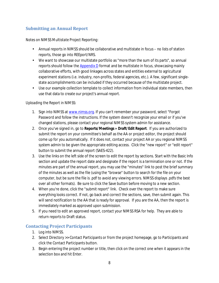# **Submitting an Annual Report**

#### *Notes on NIMSS Multistate Project Reporting:*

- Annual reports in NIMSS should be collaborative and multistate in focus no lists of station reports, those go into REEport/NRS.
- We want to showcase our multistate portfolio as "more than the sum of its parts", so annual reports should follow th[e Appendix D](https://www.nimss.org/forms/appendix_d.pdf) format and be multistate in focus, showcasing mainly collaborative efforts, with good linkages across states and entities external to agricultural experiment stations (i.e. industry, non-profits, federal agencies, etc.). A few, significant singlestate accomplishments can be included if they occurred because of the multistate project.
- Use our example collection template to collect information from individual state members, then use that data to create our project's annual report.

#### *Uploading the Report in NIMSS:*

- 1. Sign into NIMSS a[t www.nimss.org.](http://www.nimss.org/) If you can't remember your password, select "Forgot Password and follow the instructions. If the system doesn't recognize your email or if you've changed stations, please contact your regional NIMSS system admin for assistance.
- 2. Once you've signed in, go to **Reports/Meetings » Draft/Edit Report**. If you are authorized to submit the report on your committee's behalf as the AA or project editor, the project should come up for you automatically. If it does not, contact your project AA or you regional NIMSS system admin to be given the appropriate editing access. Click the "new report" or "edit report" button to submit the annual report (SAES-422).
- 3. Use the links on the left side of the screen to edit the report by sections. Start with the Basic Info section and update the report date and designate if the report is a termination one or not. If the minutes are part of the annual report, you may use the "minutes" link to post the brief summary of the minutes as well as the file (using the "browse" button to search for the file on your computer, but be sure the file is .pdf to avoid any viewing errors. NIMSS displays .pdfs the best over all other formats). Be sure to click the Save button before moving to a new section.
- 4. When you're done, click the "submit report" link. Check over the report to make sure everything looks correct. If not, go back and correct the sections, save, then submit again. This will send notification to the AA that is ready for approval. If you are the AA, then the report is immediately marked as approved upon submission.
- 5. If you need to edit an approved report, contact your NIMSS RSA for help. They are able to return reports to Draft status.

# <span id="page-7-0"></span>**Contacting Project Participants**

- 1. Log into NIMSS.
- 2. Select Directory >> Contact Participants or from the project homepage, go to Participants and click the Contact Participants button.
- 3. Begin entering the project number or title, then click on the correct one when it appears in the selection box and hit Enter.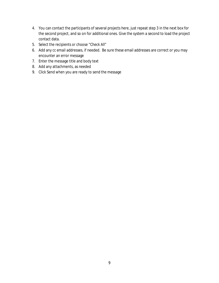- 4. You can contact the participants of several projects here, just repeat step 3 in the next box for the second project, and so on for additional ones. Give the system a second to load the project contact data.
- 5. Select the recipients or choose "Check All"
- 6. Add any cc email addresses, if needed. Be sure these email addresses are correct or you may encounter an error message
- 7. Enter the message title and body text
- 8. Add any attachments, as needed
- 9. Click Send when you are ready to send the message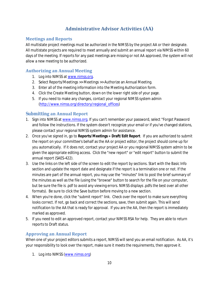# **Administrative Advisor Activities (AA)**

# <span id="page-9-1"></span><span id="page-9-0"></span>**Meetings and Reports**

All multistate project meetings must be authorized in the NIMSS by the project AA or their designate. All multistate projects are required to meet annually and submit an annual report via NIMSS within 60 days of the meeting. If reports for any past meetings are missing or not AA approved, the system will not allow a new meeting to be authorized.

## <span id="page-9-2"></span>**Authorizing an Annual Meeting**

- 1. Log into NIMSS a[t www.nimss.org.](http://www.nimss.org/)
- 2. Select Reports/Meetings >> Meetings >> Authorize an Annual Meeting.
- 3. Enter all of the meeting information into the Meeting Authorization form.
- 4. Click the Create Meeting button, down on the lower right side of your page.
- 5. If you need to make any changes, contact your regional NIMSS system admin [\(http://www.nimss.org/directory/regional\\_offices\)](http://www.nimss.org/directory/regional_offices)

# <span id="page-9-3"></span>**Submitting an Annual Report**

- 1. Sign into NIMSS a[t www.nimss.org.](http://www.nimss.org/) If you can't remember your password, select "Forgot Password and follow the instructions. If the system doesn't recognize your email or if you've changed stations, please contact your regional NIMSS system admin for assistance.
- 2. Once you've signed in, go to **Reports/Meetings » Draft/Edit Report**. If you are authorized to submit the report on your committee's behalf as the AA or project editor, the project should come up for you automatically. If it does not, contact your project AA or you regional NIMSS system admin to be given the appropriate editing access. Click the "new report" or "edit report" button to submit the annual report (SAES-422).
- 3. Use the links on the left side of the screen to edit the report by sections. Start with the Basic Info section and update the report date and designate if the report is a termination one or not. If the minutes are part of the annual report, you may use the "minutes" link to post the brief summary of the minutes as well as the file (using the "browse" button to search for the file on your computer, but be sure the file is .pdf to avoid any viewing errors. NIMSS displays .pdfs the best over all other formats). Be sure to click the Save button before moving to a new section.
- 4. When you're done, click the "submit report" link. Check over the report to make sure everything looks correct. If not, go back and correct the sections, save, then submit again. This will send notification to the AA that is ready for approval. If you are the AA, then the report is immediately marked as approved.
- 5. If you need to edit an approved report, contact your NIMSS RSA for help. They are able to return reports to Draft status.

# <span id="page-9-4"></span>**Approving an Annual Report**

When one of your project editors submits a report, NIMSS will send you an email notification. As AA, it's your responsibility to look over the report, make sure it meets the requirements, then approve it.

1. Log into NIMSS [\(www.nimss.org\)](http://www.nimss.org/)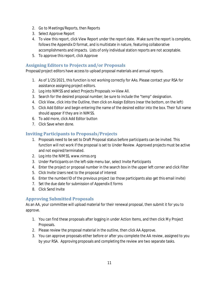- 2. Go to Meetings/Reports, then Reports
- 3. Select Approve Report
- 4. To view this report, click View Report under the report date. Make sure the report is complete, follows the Appendix D format, and is multistate in nature, featuring collaborative accomplishments and impacts. Lists of only individual station reports are not acceptable.
- 5. To approve this report, click Approve

## <span id="page-10-0"></span>**Assigning Editors to Projects and/or Proposals**

Proposal/project editors have access to upload proposal materials and annual reports.

- 1. As of 1/25/2021, this function is not working correctly for AAs. Please contact your RSA for assistance assigning project editors.
- 2. Log into NIMSS and select Projects Proposals >> View All.
- 3. Search for the desired proposal number; be sure to include the "temp" designation.
- 4. Click View, click into the Outline, then click on Assign Editors (near the bottom, on the left)
- 5. Click Add Editor and begin entering the name of the desired editor into the box. Their full name should appear if they are in NIMSS.
- 6. To add more, click Add Editor button
- 7. Click Save when done.

# <span id="page-10-1"></span>**Inviting Participants to Proposals/Projects**

- 1. Proposals need to be set to Draft Proposal status before participants can be invited. This function will not work if the proposal is set to Under Review. Approved projects must be active and not expired/terminated.
- 2. Log into the NIMSS, www.nimss.org
- 3. Under Participants on the left-side menu bar, select Invite Participants
- 4. Enter the project or proposal number in the search box in the upper left corner and click Filter
- 5. Click Invite Users next to the proposal of interest
- 6. Enter the number/ID of the previous project (so those participants also get this email invite)
- 7. Set the due date for submission of Appendix E forms
- 8. Click Send Invite

# <span id="page-10-2"></span>**Approving Submitted Proposals**

As an AA, your committee will upload material for their renewal proposal, then submit it for you to approve.

- 1. You can find these proposals after logging in under Action Items, and then click My Project Proposals.
- 2. Please review the proposal material in the outline, then click AA Approve.
- 3. You can approve proposals either before or after you complete the AA review, assigned to you by your RSA. Approving proposals and completing the review are two separate tasks.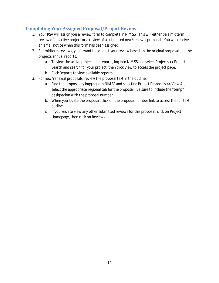# <span id="page-11-0"></span>**Completing Your Assigned Proposal/Project Review**

- 1. Your RSA will assign you a review form to complete in NIMSS. This will either be a midterm review of an active project or a review of a submitted new/renewal proposal. You will receive an email notice when this form has been assigned.
- 2. For midterm reviews, you'll want to conduct your review based on the original proposal and the projects annual reports.
	- a. To view the active project and reports, log into NIMSS and select Projects >> Project Search and search for your project, then click View to access the project page.
	- b. Click Reports to view available reports
- 3. For new/renewal proposals, review the proposal text in the outline.
	- a. Find the proposal by logging into NIMSS and selecting Project Proposals >> View All, select the appropriate regional tab for the proposal. Be sure to include the "temp" designation with the proposal number.
	- b. When you locate the proposal, click on the proposal number link to access the full text outline.
	- c. If you wish to view any other submitted reviews for this proposal, click on Project Homepage, then click on Reviews.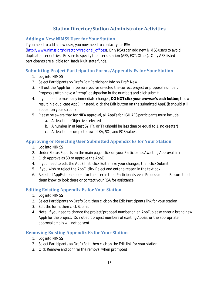# **Station Director/Station Administrator Activities**

# <span id="page-12-1"></span><span id="page-12-0"></span>**Adding a New NIMSS User for Your Station**

If you need to add a new user, you now need to contact your RSA [\(http://www.nimss.org/directory/regional\\_offices\)](http://www.nimss.org/directory/regional_offices). Only RSAs can add new NIMSS users to avoid duplicate user entries. Be sure to specify the user's station (AES, EXT, Other). Only AES-listed participants are eligible for Hatch Multistate funds.

# <span id="page-12-2"></span>**Submitting Project Participation Forms/Appendix Es for Your Station**

- 1. Log into NIMSS
- 2. Select Participants >> Draft/Edit Participant Info >> Draft New
- 3. Fill out the AppE form (be sure you've selected the correct project or proposal number. Proposals often have a "temp" designation in the number) and click submit
- 4. If you need to make any immediate changes, **DO NOT click your browser's back button**; this will result in a duplicate AppE! Instead, click the Edit button on the submitted AppE (it should still appear on your screen)
- 5. Please be aware that for NIFA approval, all AppEs for LGU AES participants must include:
	- a. At least one Objective selected
	- b. A number in at least SY, PY, or TY (should be less than or equal to 1, no greater)
	- c. At least one complete row of KA, SOI, and FOS values

# <span id="page-12-3"></span>**Approving or Rejecting User Submitted Appendix Es for Your Station**

- 1. Log into NIMSS
- 2. Under Status Reports on the main page, click on your Participants Awaiting Approval link
- 3. Click Approve as SD to approve the AppE
- 4. If you need to edit the AppE first, click Edit, make your changes, then click Submit
- 5. If you wish to reject the AppE, click Reject and enter a reason in the text box.
- 6. Rejected AppEs then appear for the user in their Participants >> In Process menu. Be sure to let them know to look there or contact your RSA for assistance.

# <span id="page-12-4"></span>**Editing Existing Appendix Es for Your Station**

- 1. Log into NIMSS
- 2. Select Participants >> Draft/Edit, then click on the Edit Participants link for your station
- 3. Edit the form, then click Submit
- 4. Note: If you need to change the project/proposal number on an AppE, please enter a brand new AppE for the project. Do not edit project numbers of existing AppEs, or the appropriate approval emails will not be sent.

# <span id="page-12-5"></span>**Removing Existing Appendix Es for Your Station**

- 1. Log into NIMSS
- 2. Select Participants >> Draft/Edit, then click on the Edit link for your station
- 3. Click Remove and confirm the removal when prompted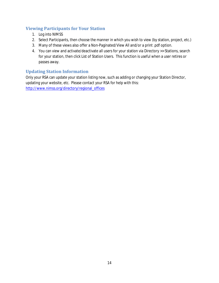# <span id="page-13-0"></span>**Viewing Participants for Your Station**

- 1. Log into NIMSS
- 2. Select Participants, then choose the manner in which you wish to view (by station, project, etc.)
- 3. Many of these views also offer a Non-Paginated/View All and/or a print .pdf option.
- 4. You can view and activate/deactivate all users for your station via Directory >> Stations, search for your station, then click List of Station Users. This function is useful when a user retires or passes away.

# <span id="page-13-1"></span>**Updating Station Information**

Only your RSA can update your station listing now, such as adding or changing your Station Director, updating your website, etc. Please contact your RSA for help with this: [http://www.nimss.org/directory/regional\\_offices](http://www.nimss.org/directory/regional_offices)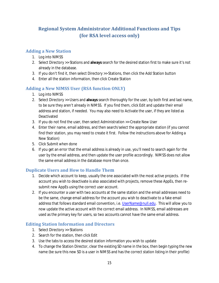# <span id="page-14-0"></span>**Regional System Administrator Additional Functions and Tips (for RSA level access only)**

# <span id="page-14-1"></span>**Adding a New Station**

- 1. Log into NIMSS
- 2. Select Directory >> Stations and **always** search for the desired station first to make sure it's not already in the database.
- 3. If you don't find it, then select Directory >> Stations, then click the Add Station button
- 4. Enter all the station information, then click Create Station

# <span id="page-14-2"></span>**Adding a New NIMSS User (RSA function ONLY)**

- 1. Log into NIMSS
- 2. Select Directory >> Users and **always** search thoroughly for the user, by both first and last name, to be sure they aren't already in NIMSS. If you find them, click Edit and update their email address and station, if needed. You may also need to Activate the user, if they are listed as Deactivated
- 3. If you do not find the user, then select Administration >> Create New User
- 4. Enter their name, email address, and then search/select the appropriate station (if you cannot find their station, you may need to create it first. Follow the instructions above for Adding a New Station)
- 5. Click Submit when done
- 6. If you get an error that the email address is already in use, you'll need to search again for the user by the email address, and then update the user profile accordingly. NIMSS does not allow the same email address in the database more than once.

# <span id="page-14-3"></span>**Duplicate Users and How to Handle Them**

- 1. Decide which account to keep, usually the one associated with the most active projects. If the account you wish to deactivate is also associated with projects, remove these AppEs, then resubmit new AppEs using the correct user account.
- 2. If you encounter a user with two accounts at the same station and the email addresses need to be the same, change email address for the account you wish to deactivate to a fake email address that follows standard email convention, i.e[. UserName@null.edu.](mailto:UserName@null.edu) This will allow you to now update the active account with the correct email address. In NIMSS, email addresses are used as the primary key for users, so two accounts cannot have the same email address.

# <span id="page-14-4"></span>**Editing Station Information and Directors**

- 1. Select Directory >> Stations
- 2. Search for the station, then click Edit
- 3. Use the tabs to access the desired station information you wish to update
- 4. To change the Station Director, clear the existing SD name in the box, then begin typing the new name (be sure this new SD is a user in NIMSS and has the correct station listing in their profile)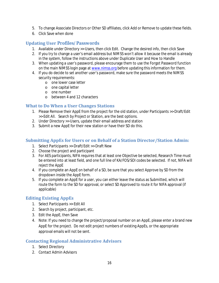- 5. To change Associate Directors or Other SD affiliates, click Add or Remove to update these fields.
- 6. Click Save when done

## <span id="page-15-0"></span>**Updating User Profiles/Passwords**

- 1. Available under Directory >> Users, then click Edit. Change the desired info, then click Save
- 2. If you try to change a user's email address but NIMSS won't allow it because the email is already in the system, follow the instructions above under Duplicate User and How to Handle
- 3. When updating a user's password, please encourage them to use the Forgot Password function on the main NIMSS login page at [www.nimss.org](http://www.nimss.org/) before updating this information for them.
- 4. If you do decide to set another user's password, make sure the password meets the NIMSS security requirements:
	- o one lower case letter
	- o one capital letter
	- o one number
	- o between 4 and 12 characters

## <span id="page-15-1"></span>**What to Do When a User Changes Stations**

- 1. Please Remove their AppE from the project for the old station, under Participants >> Draft/Edit >> Edit All. Search by Project or Station, are the best options.
- 2. Under Directory >> Users, update their email address and station
- 3. Submit a new AppE for their new station or have their SD do this.

#### <span id="page-15-2"></span>**Submitting AppEs for Users or on Behalf of a Station Director/Station Admin:**

- 1. Select Participants >> Draft/Edit >> Draft New
- 2. Choose the project and participant
- 3. For AES participants, NIFA requires that at least one Objective be selected, Research Time must be entered into at least field, and one full line of KA/FOS/SOI codes be selected. If not, NIFA will reject the AppE
- 4. If you complete an AppE on behalf of a SD, be sure that you select Approve by SD from the dropdown inside the AppE form.
- 5. If you complete an AppE for a user, you can either leave the status as Submitted, which will route the form to the SD for approval, or select SD Approved to route it for NIFA approval (if applicable)

# <span id="page-15-3"></span>**Editing Existing AppEs**

- 1. Select Participants >> Edit All
- 2. Search by project, participant, etc.
- 3. Edit the AppE, then Save
- 4. Note: If you need to change the project/proposal number on an AppE, please enter a brand new AppE for the project. Do not edit project numbers of existing AppEs, or the appropriate approval emails will not be sent.

#### <span id="page-15-4"></span>**Contacting Regional Administrative Advisors**

- 1. Select Directory
- 2. Contact Admin Advisors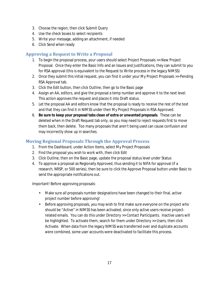- 3. Choose the region, then click Submit Query
- 4. Use the check boxes to select recipients
- 5. Write your message, adding an attachment, if needed
- 6. Click Send when ready

# <span id="page-16-0"></span>**Approving a Request to Write a Proposal**

- 1. To begin the proposal process, your users should select Project Proposals >> New Project Proposal. Once they enter the Basic Info and an Issues and Justifications, they can submit to you for RSA approval (this is equivalent to the Request to Write process in the legacy NIMSS)
- 2. Once they submit this initial request, you can find it under your My Project Proposals >> Pending RSA Approval tab.
- 3. Click the Edit button, then click Outline, then go to the Basic page
- 4. Assign an AA, editors, and give the proposal a temp number and approve it to the next level. This action approves the request and places it into Draft status.
- 5. Let the proposal AA and editors know that the proposal is ready to receive the rest of the text and that they can find it in NIMSS under their My Project Proposals in RSA Approved.
- 6. **Be sure to keep your proposal tabs clean of extra or unwanted proposals**. These can be deleted when in the Draft Request tab only, so you may need to reject requests first to move them back, then delete. Too many proposals that aren't being used can cause confusion and may incorrectly show up in searches.

# <span id="page-16-1"></span>**Moving Regional Proposals Through the Approval Process**

- 1. From the Dashboard, under Action Items, select My Project Proposals
- 2. Find the proposal you wish to work with, then click Edit
- 3. Click Outline, then on the Basic page, update the proposal status level under Status
- 4. To approve a proposal as Regionally Approved, thus sending it to NIFA for approval (if a research, NRSP, or 500 series), then be sure to click the Approve Proposal button under Basic to send the appropriate notifications out.

Important! Before approving proposals:

- Make sure all proposals number designations have been changed to their final, active  $\mathbf{r} = \mathbf{r}$ project number before approving!
- Before approving proposals, you may wish to first make sure everyone on the project who  $\mathbf{r} = \mathbf{r}$ should be "Active" in NIMSS has been activated, since only active users receive projectrelated emails. You can do this under Directory >> Contact Participants. Inactive users will be highlighted. To activate them, search for them under Directory >> Users, then click Activate. When data from the legacy NIMSS was transferred over and duplicate accounts were combined, some user accounts were deactivated to facilitate this process.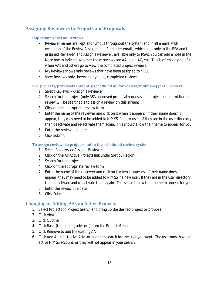# <span id="page-17-1"></span><span id="page-17-0"></span>**Assigning Reviewers to Projects and Proposals**

#### **Important Notes on Reviews:**

- Reviewer names are kept anonymous throughout the system and in all emails, with exception of the Review Assigned and Reminder emails, which goes only to the RSA and the assigned Reviewer, and Assign a Reviewer, available only to RSAs. You can add a note in the Note box to indicate whether these reviews are AA, peer, AC, etc. This is often very helpful when AAs and others go to view the completed project reviews.
- $\mathcal{L}^{\pm}$ My Reviews shows only reviews that have been assigned to YOU.
- View Reviews only shows anonymous, completed reviews.  $\mathcal{L}^{\text{max}}$

#### <span id="page-17-2"></span>**For projects/proposals currently scheduled up for review/midterm (year 3 review)**

- 1. Select Reviews >> Assign a Reviewer
- 2. Search for the project (only RSA approved proposal requests and projects up for midterm review will be searchable to assign a review on this screen)
- 3. Click on the appropriate review form
- 4. Enter the name of the reviewer and click on it when it appears. If their name doesn't appear, they may need to be added to NIMSS if a new user. If they are in the user directory, then deactivate and re-activate them again. This should allow their name to appear for you.
- 5. Enter the review due date
- 6. Click Submit

#### <span id="page-17-3"></span>**To assign reviews to projects not in the scheduled review cycle:**

- 1. Select Reviews >> Assign a Reviewer
- 2. Click on the All Active Projects link under Sort by Region
- 3. Search for the project
- 4. Click on the appropriate review form
- 7. Enter the name of the reviewer and click on it when it appears. If their name doesn't appear, they may need to be added to NIMSS if a new user. If they are in the user directory, then deactivate and re-activate them again. This should allow their name to appear for you.
- 5. Enter the review due date
- 6. Click Submit

# <span id="page-17-4"></span>**Changing or Adding AAs on Active Projects**

- 1. Select Projects >> Project Search and bring up the desired project or proposal
- 2. Click View
- 3. Click Outline
- 4. Click Basic (title, dates, advisors) from the Project Menu
- 5. Click Remove to add the existing AA
- 6. Click Add Administrative Advisor and then search for the user you want. The user must have an active NIMSS account, or they will not appear in your search.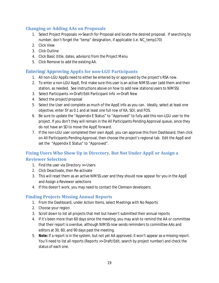# <span id="page-18-0"></span>**Changing or Adding AAs on Proposals**

- 1. Select Project Proposals >> Search for Proposal and locate the desired proposal. If searching by number, don't forget the "temp" designation, if applicable (i.e. NC\_temp170)
- 2. Click View
- 3. Click Outline
- 4. Click Basic (title, dates, advisors) from the Project Menu
- 5. Click Remove to add the existing AA.

# <span id="page-18-1"></span>**Entering/Approving AppEs for non-LGU Participants**

- 1. All non-LGU AppEs need to either be entered by or approved by the project's RSA now.
- 2. To enter a non-LGU AppE, first make sure this user is an active NIMSS user (add them and their station, as needed. See instructions above on how to add new stations/users to NIMSS)
- 3. Select Participants >> Draft/Edit Participant Info >> Draft New
- 4. Select the project/proposal
- 5. Select the User and complete as much of the AppE info as you can. Ideally, select at least one objective, enter SY as 0.1 and at least one full row of KA, SOI, and FOS.
- 6. Be sure to update the "Appendix E Status" to "Approved" to fully add this non-LGU user to the project. If you don't they will remain in the All Participants Pending Approval queue, since they do not have an SD to move the AppE forward.
- 7. If the non-LGU user completed their own AppE, you can approve this from Dashboard, then click on All Participants Pending Approval, then choose the project's regional tab. Edit the AppE and set the "Appendix E Status" to "Approved".

# <span id="page-18-2"></span>**Fixing Users Who Show Up in Directory, But Not Under AppE or Assign a Reviewer Selection**

- 1. Find the user via Directory >> Users
- 2. Click Deactivate, then Re-activate
- 3. This will reset them as an active NIMSS user and they should now appear for you in the AppE and Assign a Reviewer selections
- 4. If this doesn't work, you may need to contact the Clemson developers.

# <span id="page-18-3"></span>**Finding Projects Missing Annual Reports**

- 1. From the Dashboard, under Action Items, select Meetings with No Reports
- 2. Choose your region
- 3. Scroll down to list all projects that met but haven't submitted their annual reports
- 4. If it's been more than 60 days since the meeting, you may wish to remind the AA or committee that their report is overdue, although NIMSS now sends reminders to committee AAs and editors at 30, 60, and 90 days past the meeting.
- 5. **Note:** If a report is in the system, but not yet AA approved, it won't appear as a missing report. You'll need to list all reports (Reports >> Draft/Edit, search by project number) and check the status of each one.